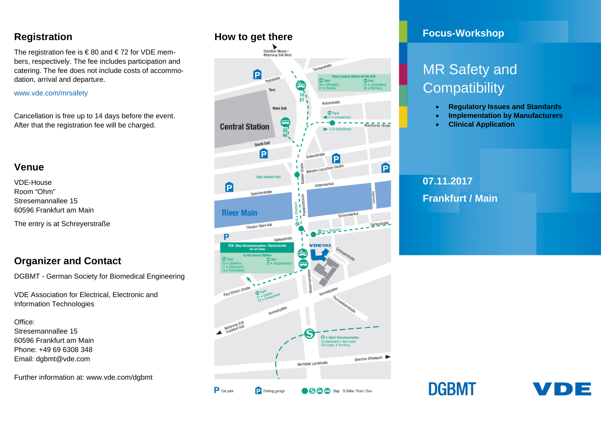### **Registration**

The registration fee is  $\epsilon$  80 and  $\epsilon$  72 for VDE members, respectively. The fee includes participation and catering. The fee does not include costs of accommodation, arrival and departure.

#### www.vde.com/mrsafety

Cancellation is free up to 14 days before the event. After that the registration fee will be charged.

### **Venue**

VDE-House Room "Ohm" Stresemannallee 15 60596 Frankfurt am Main

The entry is at Schreyerstraße

## **Organizer and Contact**

DGBMT - German Society for Biomedical Engineering

VDE Association for Electrical, Electronic and Information Technologies

Office: Stresemannallee 15 60596 Frankfurt am Main Phone: +49 69 6308 348 Email: dgbmt@vde.com

Further information at: www.vde.com/dgbmt

### **How to get there**



# **Focus-Workshop**

# MR Safety and **Compatibility**

- •**Regulatory Issues and Standards**
- •**Implementation by Manufacturers**
- •**Clinical Application**

# **07.11.2017 Frankfurt / Main**

**DGBMT**